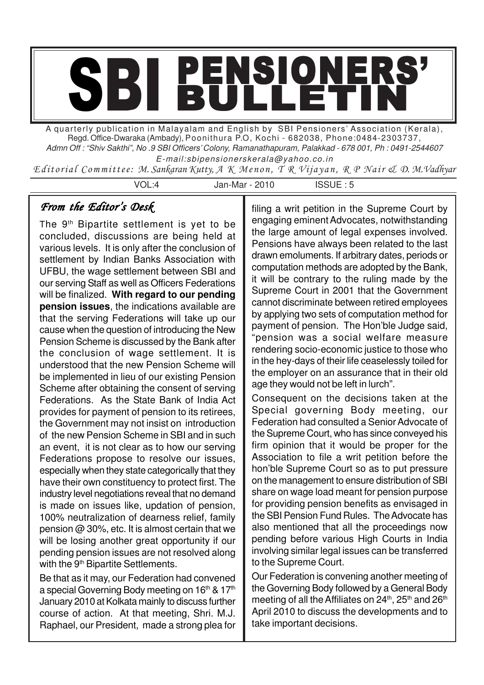

A quarterly publication in Malayalam and English by SBI Pensioners' Association (Kerala), Regd. Office-Dwaraka (Ambady), Poonithura P.O, Kochi - 682038, Phone:0484-2303737, Admn Off : "Shiv Sakthi", No .9 SBI Officers' Colony, Ramanathapuram, Palakkad - 678 001, Ph : 0491-2544607 E-mail:sbipensionerskerala@yahoo.co.in

Editorial Committee: M. Sankaran Kutty, A K Menon, T R Vijayan, R P Nair & D. M.Vadhyar

VOL:4 Jan-Mar - 2010 ISSUE : 5

From the Editor's Desk

The 9<sup>th</sup> Bipartite settlement is yet to be concluded, discussions are being held at various levels. It is only after the conclusion of settlement by Indian Banks Association with UFBU, the wage settlement between SBI and our serving Staff as well as Officers Federations will be finalized. **With regard to our pending pension issues**, the indications available are that the serving Federations will take up our cause when the question of introducing the New Pension Scheme is discussed by the Bank after the conclusion of wage settlement. It is understood that the new Pension Scheme will be implemented in lieu of our existing Pension Scheme after obtaining the consent of serving Federations. As the State Bank of India Act provides for payment of pension to its retirees, the Government may not insist on introduction of the new Pension Scheme in SBI and in such an event, it is not clear as to how our serving Federations propose to resolve our issues, especially when they state categorically that they have their own constituency to protect first. The industry level negotiations reveal that no demand is made on issues like, updation of pension, 100% neutralization of dearness relief, family pension @ 30%, etc. It is almost certain that we will be losing another great opportunity if our pending pension issues are not resolved along with the 9<sup>th</sup> Bipartite Settlements.

Be that as it may, our Federation had convened a special Governing Body meeting on 16<sup>th</sup> & 17<sup>th</sup> January 2010 at Kolkata mainly to discuss further course of action. At that meeting, Shri. M.J. Raphael, our President, made a strong plea for filing a writ petition in the Supreme Court by engaging eminent Advocates, notwithstanding the large amount of legal expenses involved. Pensions have always been related to the last drawn emoluments. If arbitrary dates, periods or computation methods are adopted by the Bank, it will be contrary to the ruling made by the Supreme Court in 2001 that the Government cannot discriminate between retired employees by applying two sets of computation method for payment of pension. The Hon'ble Judge said, "pension was a social welfare measure rendering socio-economic justice to those who in the hey-days of their life ceaselessly toiled for the employer on an assurance that in their old age they would not be left in lurch".

Consequent on the decisions taken at the Special governing Body meeting, our Federation had consulted a Senior Advocate of the Supreme Court, who has since conveyed his firm opinion that it would be proper for the Association to file a writ petition before the hon'ble Supreme Court so as to put pressure on the management to ensure distribution of SBI share on wage load meant for pension purpose for providing pension benefits as envisaged in the SBI Pension Fund Rules. The Advocate has also mentioned that all the proceedings now pending before various High Courts in India involving similar legal issues can be transferred to the Supreme Court.

Our Federation is convening another meeting of the Governing Body followed by a General Body meeting of all the Affiliates on 24<sup>th</sup>, 25<sup>th</sup> and 26<sup>th</sup> April 2010 to discuss the developments and to take important decisions.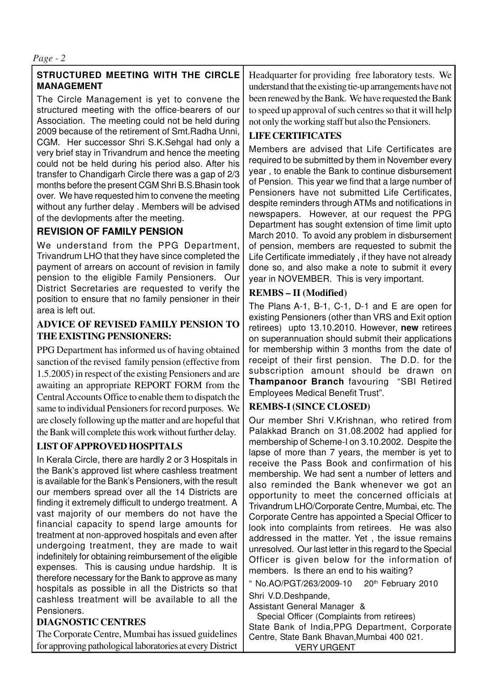## **STRUCTURED MEETING WITH THE CIRCLE MANAGEMENT**

The Circle Management is yet to convene the structured meeting with the office-bearers of our Association. The meeting could not be held during 2009 because of the retirement of Smt.Radha Unni, CGM. Her successor Shri S.K.Sehgal had only a very brief stay in Trivandrum and hence the meeting could not be held during his period also. After his transfer to Chandigarh Circle there was a gap of 2/3 months before the present CGM Shri B.S.Bhasin took over. We have requested him to convene the meeting without any further delay . Members will be advised of the devlopments after the meeting.

# **REVISION OF FAMILY PENSION**

We understand from the PPG Department. Trivandrum LHO that they have since completed the payment of arrears on account of revision in family pension to the eligible Family Pensioners. Our District Secretaries are requested to verify the position to ensure that no family pensioner in their area is left out.

### **ADVICE OF REVISED FAMILY PENSION TO THE EXISTING PENSIONERS:**

PPG Department has informed us of having obtained sanction of the revised family pension (effective from 1.5.2005) in respect of the existing Pensioners and are awaiting an appropriate REPORT FORM from the Central Accounts Office to enable them to dispatch the same to individual Pensioners for record purposes. We are closely following up the matter and are hopeful that the Bank will complete this work without further delay.

# **LIST OFAPPROVED HOSPITALS**

In Kerala Circle, there are hardly 2 or 3 Hospitals in the Bank's approved list where cashless treatment is available for the Bank's Pensioners, with the result our members spread over all the 14 Districts are finding it extremely difficult to undergo treatment. A vast majority of our members do not have the financial capacity to spend large amounts for treatment at non-approved hospitals and even after undergoing treatment, they are made to wait indefinitely for obtaining reimbursement of the eligible expenses. This is causing undue hardship. It is therefore necessary for the Bank to approve as many hospitals as possible in all the Districts so that cashless treatment will be available to all the Pensioners.

#### **DIAGNOSTIC CENTRES**

The Corporate Centre, Mumbai has issued guidelines for approving pathological laboratories at every District Headquarter for providing free laboratory tests. We understand that the existing tie-up arrangements have not been renewed by the Bank. We have requested the Bank to speed up approval of such centres so that it will help not only the working staff but also the Pensioners.

# **LIFE CERTIFICATES**

Members are advised that Life Certificates are required to be submitted by them in November every year , to enable the Bank to continue disbursement of Pension. This year we find that a large number of Pensioners have not submitted Life Certificates, despite reminders through ATMs and notifications in newspapers. However, at our request the PPG Department has sought extension of time limit upto March 2010. To avoid any problem in disbursement of pension, members are requested to submit the Life Certificate immediately , if they have not already done so, and also make a note to submit it every year in NOVEMBER. This is very important.

## **REMBS – II (Modified)**

The Plans A-1, B-1, C-1, D-1 and E are open for existing Pensioners (other than VRS and Exit option retirees) upto 13.10.2010. However, **new** retirees on superannuation should submit their applications for membership within 3 months from the date of receipt of their first pension. The D.D. for the subscription amount should be drawn on **Thampanoor Branch** favouring "SBI Retired Employees Medical Benefit Trust".

# **REMBS-I (SINCE CLOSED)**

Our member Shri V.Krishnan, who retired from Palakkad Branch on 31.08.2002 had applied for membership of Scheme-I on 3.10.2002. Despite the lapse of more than 7 years, the member is yet to receive the Pass Book and confirmation of his membership. We had sent a number of letters and also reminded the Bank whenever we got an opportunity to meet the concerned officials at Trivandrum LHO/Corporate Centre, Mumbai, etc. The Corporate Centre has appointed a Special Officer to look into complaints from retirees. He was also addressed in the matter. Yet , the issue remains unresolved. Our last letter in this regard to the Special Officer is given below for the information of members. Is there an end to his waiting?

" No.AO/PGT/263/2009-10 20th February 2010

Shri V.D.Deshpande,

Assistant General Manager &

 Special Officer (Complaints from retirees) State Bank of India,PPG Department, Corporate Centre, State Bank Bhavan,Mumbai 400 021. VERY URGENT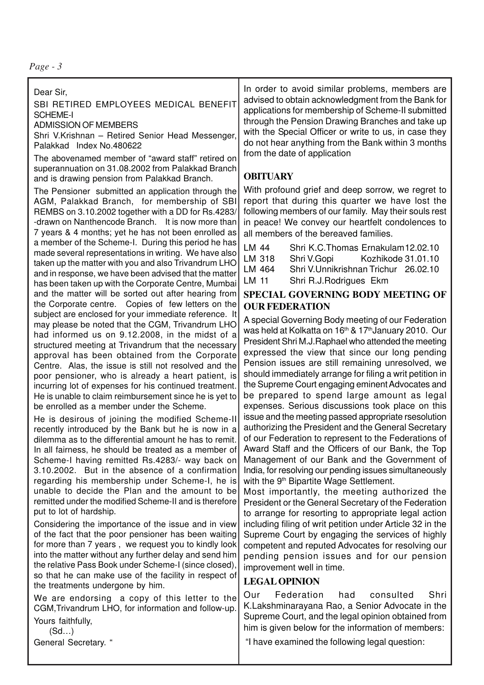*Page - 3*

Dear Sir,

SBI RETIRED EMPLOYEES MEDICAL BENEFIT SCHEME-I

ADMISSION OF MEMBERS

Shri V.Krishnan – Retired Senior Head Messenger, Palakkad Index No.480622

The abovenamed member of "award staff" retired on superannuation on 31.08.2002 from Palakkad Branch and is drawing pension from Palakkad Branch.

The Pensioner submitted an application through the AGM, Palakkad Branch, for membership of SBI REMBS on 3.10.2002 together with a DD for Rs.4283/ -drawn on Nanthencode Branch. It is now more than 7 years & 4 months; yet he has not been enrolled as a member of the Scheme-I. During this period he has made several representations in writing. We have also taken up the matter with you and also Trivandrum LHO and in response, we have been advised that the matter has been taken up with the Corporate Centre, Mumbai and the matter will be sorted out after hearing from the Corporate centre. Copies of few letters on the subject are enclosed for your immediate reference. It may please be noted that the CGM, Trivandrum LHO had informed us on 9.12.2008, in the midst of a structured meeting at Trivandrum that the necessary approval has been obtained from the Corporate Centre. Alas, the issue is still not resolved and the poor pensioner, who is already a heart patient, is incurring lot of expenses for his continued treatment. He is unable to claim reimbursement since he is yet to be enrolled as a member under the Scheme.

He is desirous of joining the modified Scheme-II recently introduced by the Bank but he is now in a dilemma as to the differential amount he has to remit. In all fairness, he should be treated as a member of Scheme-I having remitted Rs.4283/- way back on 3.10.2002. But in the absence of a confirmation regarding his membership under Scheme-I, he is unable to decide the Plan and the amount to be remitted under the modified Scheme-II and is therefore put to lot of hardship.

Considering the importance of the issue and in view of the fact that the poor pensioner has been waiting for more than 7 years , we request you to kindly look into the matter without any further delay and send him the relative Pass Book under Scheme-I (since closed), so that he can make use of the facility in respect of the treatments undergone by him.

We are endorsing a copy of this letter to the CGM,Trivandrum LHO, for information and follow-up.

Yours faithfully, (Sd…) General Secretary. " In order to avoid similar problems, members are advised to obtain acknowledgment from the Bank for applications for membership of Scheme-II submitted through the Pension Drawing Branches and take up with the Special Officer or write to us, in case they do not hear anything from the Bank within 3 months from the date of application

#### **OBITUARY**

With profound grief and deep sorrow, we regret to report that during this quarter we have lost the following members of our family. May their souls rest in peace! We convey our heartfelt condolences to all members of the bereaved families.

| LM 44 |        | Shri K.C. Thomas Ernakulam 12.02.10  |                    |  |
|-------|--------|--------------------------------------|--------------------|--|
|       | LM 318 | Shri V.Gopi                          | Kozhikode 31.01.10 |  |
|       | LM 464 | Shri V.Unnikrishnan Trichur 26.02.10 |                    |  |
| LM 11 |        | Shri R.J.Rodrigues Ekm               |                    |  |

#### **SPECIAL GOVERNING BODY MEETING OF OUR FEDERATION**

A special Governing Body meeting of our Federation was held at Kolkatta on 16<sup>th</sup> & 17<sup>th</sup> January 2010. Our President Shri M.J.Raphael who attended the meeting expressed the view that since our long pending Pension issues are still remaining unresolved, we should immediately arrange for filing a writ petition in the Supreme Court engaging eminent Advocates and be prepared to spend large amount as legal expenses. Serious discussions took place on this issue and the meeting passed appropriate rsesolution authorizing the President and the General Secretary of our Federation to represent to the Federations of Award Staff and the Officers of our Bank, the Top Management of our Bank and the Government of India, for resolving our pending issues simultaneously with the 9<sup>th</sup> Bipartite Wage Settlement.

Most importantly, the meeting authorized the President or the General Secretary of the Federation to arrange for resorting to appropriate legal action including filing of writ petition under Article 32 in the Supreme Court by engaging the services of highly competent and reputed Advocates for resolving our pending pension issues and for our pension improvement well in time.

#### **LEGAL OPINION**

Our Federation had consulted Shri K.Lakshminarayana Rao, a Senior Advocate in the Supreme Court, and the legal opinion obtained from him is given below for the information of members:

"I have examined the following legal question: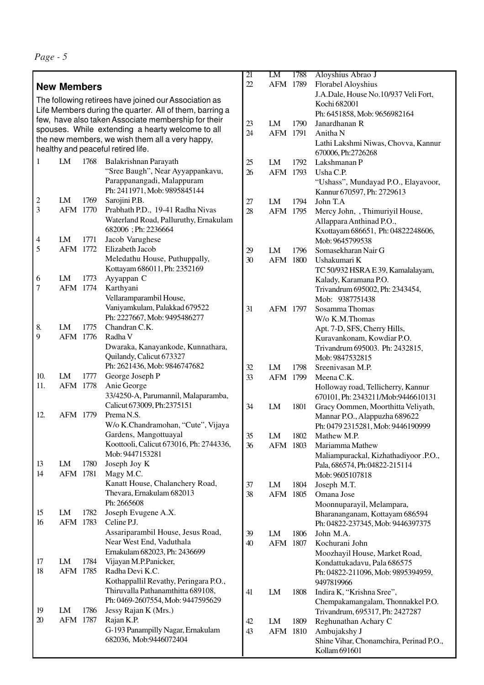*Page - 5*

|                         |                                                         |      |                                                       | $\overline{21}$ | LM             | 1788 | Aloyshius Abrao J                                |
|-------------------------|---------------------------------------------------------|------|-------------------------------------------------------|-----------------|----------------|------|--------------------------------------------------|
|                         | <b>New Members</b>                                      |      |                                                       | 22              | AFM 1789       |      | Florabel Aloyshius                               |
|                         |                                                         |      |                                                       |                 |                |      | J.A.Dale, House No.10/937 Veli Fort,             |
|                         |                                                         |      | The following retirees have joined our Association as |                 |                |      | Kochi 682001                                     |
|                         | Life Members during the quarter. All of them, barring a |      |                                                       |                 |                |      | Ph: 6451858, Mob: 9656982164                     |
|                         | few, have also taken Associate membership for their     |      |                                                       | 23              | LM             | 1790 | Janardhanan R                                    |
|                         | spouses. While extending a hearty welcome to all        |      |                                                       | 24              | AFM 1791       |      | Anitha N                                         |
|                         |                                                         |      | the new members, we wish them all a very happy,       |                 |                |      | Lathi Lakshmi Niwas, Chovva, Kannur              |
|                         |                                                         |      | healthy and peaceful retired life.                    |                 |                |      | 670006, Ph:2726268                               |
| 1                       | LM                                                      | 1768 | Balakrishnan Parayath                                 | 25              | LM             | 1792 | Lakshmanan P                                     |
|                         |                                                         |      | "Sree Baugh", Near Ayyappankavu,                      | 26              | AFM 1793       |      | Usha C.P.                                        |
|                         |                                                         |      | Parappanangadi, Malappuram                            |                 |                |      | "Ushass", Mundayad P.O., Elayavoor,              |
|                         |                                                         |      | Ph: 2411971, Mob: 9895845144                          |                 |                |      | Kannur 670597, Ph: 2729613                       |
| $\overline{\mathbf{c}}$ | LM                                                      | 1769 | Sarojini P.B.                                         | 27              | LM             | 1794 | John T.A                                         |
| 3                       | AFM 1770                                                |      | Prabhath P.D., 19-41 Radha Nivas                      | 28              | AFM 1795       |      | Mercy John, , Thimuriyil House,                  |
|                         |                                                         |      | Waterland Road, Palluruthy, Ernakulam                 |                 |                |      | Allappara Anthinad P.O.,                         |
|                         |                                                         |      | 682006; Ph: 2236664                                   |                 |                |      | Kxottayam 686651, Ph: 04822248606,               |
| 4                       | LM                                                      | 1771 | Jacob Varughese                                       |                 |                |      | Mob: 9645799538                                  |
| 5                       | AFM 1772                                                |      | Elizabeth Jacob                                       | 29              | LM             | 1796 | Somasekharan Nair G                              |
|                         |                                                         |      | Meledathu House, Puthuppally,                         | 30              | AFM 1800       |      | Ushakumari K                                     |
|                         |                                                         |      | Kottayam 686011, Ph: 2352169                          |                 |                |      | TC 50/932 HSRA E 39, Kamalalayam,                |
| 6                       | LM                                                      | 1773 | Ayyappan C                                            |                 |                |      | Kalady, Karamana P.O.                            |
| $\boldsymbol{7}$        | AFM 1774                                                |      | Karthyani                                             |                 |                |      | Trivandrum 695002, Ph: 2343454,                  |
|                         |                                                         |      | Vellaramparambil House,                               |                 |                |      | Mob: 9387751438                                  |
|                         |                                                         |      | Vaniyamkulam, Palakkad 679522                         | 31              | AFM 1797       |      | Sosamma Thomas                                   |
|                         |                                                         |      | Ph: 2227667, Mob: 9495486277                          |                 |                |      | W/o K.M.Thomas                                   |
| 8.                      | LM                                                      | 1775 | Chandran C.K.                                         |                 |                |      | Apt. 7-D, SFS, Cherry Hills,                     |
| 9                       | AFM 1776                                                |      | Radha V                                               |                 |                |      | Kuravankonam, Kowdiar P.O.                       |
|                         |                                                         |      | Dwaraka, Kanayankode, Kunnathara,                     |                 |                |      | Trivandrum 695003. Ph: 2432815,                  |
|                         |                                                         |      | Quilandy, Calicut 673327                              |                 |                |      | Mob: 9847532815                                  |
|                         |                                                         |      | Ph: 2621436, Mob: 9846747682                          | 32              | LM             | 1798 | Sreenivasan M.P.                                 |
| 10.                     | LM                                                      | 1777 | George Joseph P                                       | 33              | AFM 1799       |      | Meena C.K.                                       |
| 11.                     | AFM 1778                                                |      | Anie George<br>33/4250-A, Parumannil, Malaparamba,    |                 |                |      | Holloway road, Tellicherry, Kannur               |
|                         |                                                         |      | Calicut 673009, Ph:2375151                            |                 |                |      | 670101, Ph: 2343211/Mob:9446610131               |
| 12.                     | AFM 1779                                                |      | Prema <sub>N.S.</sub>                                 | 34              | LM             | 1801 | Gracy Oommen, Moorthitta Veliyath,               |
|                         |                                                         |      | W/o K.Chandramohan, "Cute", Vijaya                    |                 |                |      | Mannar P.O., Alappuzha 689622                    |
|                         |                                                         |      | Gardens, Mangottuayal                                 |                 |                | 1802 | Ph: 0479 2315281, Mob: 9446190999<br>Mathew M.P. |
|                         |                                                         |      | Koottooli, Calicut 673016, Ph: 2744336,               | 35<br>36        | LM<br>AFM 1803 |      | Mariamma Mathew                                  |
|                         |                                                         |      | Mob: 9447153281                                       |                 |                |      | Maliampurackal, Kizhathadiyoor .P.O.,            |
| 13                      | LM                                                      | 1780 | Joseph Joy K                                          |                 |                |      | Pala, 686574, Ph:04822-215114                    |
| 14                      | AFM 1781                                                |      | Magy M.C.                                             |                 |                |      | Mob: 9605107818                                  |
|                         |                                                         |      | Kanatt House, Chalanchery Road,                       | 37              | LM             | 1804 | Joseph M.T.                                      |
|                         |                                                         |      | Thevara, Ernakulam 682013                             | 38              | AFM 1805       |      | Omana Jose                                       |
|                         |                                                         |      | Ph: 2665608                                           |                 |                |      | Moonnuparayil, Melampara,                        |
| 15                      | LM                                                      | 1782 | Joseph Evugene A.X.                                   |                 |                |      | Bharananganam, Kottayam 686594                   |
| 16                      | AFM                                                     | 1783 | Celine P.J.                                           |                 |                |      | Ph: 04822-237345, Mob: 9446397375                |
|                         |                                                         |      | Assariparambil House, Jesus Road,                     | 39              | LM             | 1806 | John M.A.                                        |
|                         |                                                         |      | Near West End, Vaduthala                              | 40              | AFM 1807       |      | Kochurani John                                   |
|                         |                                                         |      | Ernakulam 682023, Ph: 2436699                         |                 |                |      | Moozhayil House, Market Road,                    |
| 17                      | LM                                                      | 1784 | Vijayan M.P.Panicker,                                 |                 |                |      | Kondattukadavu, Pala 686575                      |
| 18                      | AFM 1785                                                |      | Radha Devi K.C.                                       |                 |                |      | Ph: 04822-211096, Mob: 9895394959,               |
|                         |                                                         |      | Kothappallil Revathy, Peringara P.O.,                 |                 |                |      | 9497819966                                       |
|                         |                                                         |      | Thiruvalla Pathanamthitta 689108,                     | 41              | LM             | 1808 | Indira K, "Krishna Sree",                        |
|                         |                                                         |      | Ph: 0469-2607554, Mob: 9447595629                     |                 |                |      | Chempakamangalam, Thonnakkel P.O.                |
| 19                      | LM                                                      | 1786 | Jessy Rajan K (Mrs.)                                  |                 |                |      | Trivandrum, 695317, Ph: 2427287                  |
| 20                      | AFM 1787                                                |      | Rajan K.P.                                            | 42              | LM             | 1809 | Reghunathan Achary C                             |
|                         |                                                         |      | G-193 Panampilly Nagar, Ernakulam                     | 43              | AFM 1810       |      | Ambujakshy J                                     |
|                         |                                                         |      | 682036, Mob:9446072404                                |                 |                |      | Shine Vihar, Chonamchira, Perinad P.O.,          |
|                         |                                                         |      |                                                       |                 |                |      | Kollam 691601                                    |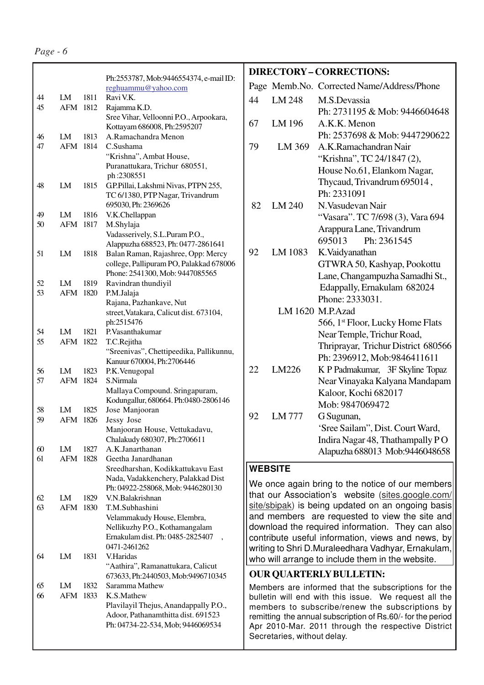|          |                |      |                                                                               |    |                             | <b>DIRECTORY-CORRECTIONS:</b>                                                                                  |
|----------|----------------|------|-------------------------------------------------------------------------------|----|-----------------------------|----------------------------------------------------------------------------------------------------------------|
|          |                |      | Ph:2553787, Mob:9446554374, e-mail ID:<br>reghuammu@yahoo.com                 |    |                             | Page Memb.No. Corrected Name/Address/Phone                                                                     |
| 44       | LM             | 1811 | Ravi V.K.                                                                     | 44 | LM 248                      | M.S.Devassia                                                                                                   |
| 45       | AFM 1812       |      | Rajamma K.D.                                                                  |    |                             | Ph: 2731195 & Mob: 9446604648                                                                                  |
|          |                |      | Sree Vihar, Velloonni P.O., Arpookara,                                        |    |                             |                                                                                                                |
|          |                |      | Kottayam 686008, Ph:2595207                                                   | 67 | LM 196                      | A.K.K. Menon                                                                                                   |
| 46       | LM             | 1813 | A.Ramachandra Menon                                                           |    |                             | Ph: 2537698 & Mob: 9447290622                                                                                  |
| 47       | AFM 1814       |      | C.Sushama                                                                     | 79 | LM 369                      | A.K.Ramachandran Nair                                                                                          |
|          |                |      | "Krishna", Ambat House,<br>Puranattukara, Trichur 680551,                     |    |                             | "Krishna", TC 24/1847 (2),                                                                                     |
|          |                |      | ph:2308551                                                                    |    |                             | House No.61, Elankom Nagar,                                                                                    |
| 48       | LM             | 1815 | G.P.Pillai, Lakshmi Nivas, PTPN 255,                                          |    |                             | Thycaud, Trivandrum 695014,                                                                                    |
|          |                |      | TC 6/1380, PTP Nagar, Trivandrum                                              |    |                             | Ph: 2331091                                                                                                    |
|          |                |      | 695030, Ph: 2369626                                                           | 82 | LM 240                      | N. Vasudevan Nair                                                                                              |
| 49       | LM             | 1816 | V.K.Chellappan                                                                |    |                             | "Vasara". TC 7/698 (3), Vara 694                                                                               |
| 50       | AFM 1817       |      | M.Shylaja                                                                     |    |                             | Arappura Lane, Trivandrum                                                                                      |
|          |                |      | Vadasserively, S.L.Puram P.O.,                                                |    |                             | 695013<br>Ph: 2361545                                                                                          |
|          | LM             |      | Alappuzha 688523, Ph: 0477-2861641                                            | 92 | LM 1083                     | K.Vaidyanathan                                                                                                 |
| 51       |                | 1818 | Balan Raman, Rajashree, Opp: Mercy<br>college, Pallipuram PO, Palakkad 678006 |    |                             | GTWRA 50, Kashyap, Pookottu                                                                                    |
|          |                |      | Phone: 2541300, Mob: 9447085565                                               |    |                             |                                                                                                                |
| 52       | LM             | 1819 | Ravindran thundiyil                                                           |    |                             | Lane, Changampuzha Samadhi St.,                                                                                |
| 53       | AFM 1820       |      | P.M.Jalaja                                                                    |    |                             | Edappally, Ernakulam 682024                                                                                    |
|          |                |      | Rajana, Pazhankave, Nut                                                       |    |                             | Phone: 2333031.                                                                                                |
|          |                |      | street, Vatakara, Calicut dist. 673104,                                       |    |                             | LM 1620 M.P.Azad                                                                                               |
|          |                |      | ph:2515476                                                                    |    |                             | 566, 1 <sup>st</sup> Floor, Lucky Home Flats                                                                   |
| 54<br>55 | LM<br>AFM 1822 | 1821 | P.Vasanthakumar<br>T.C.Rejitha                                                |    |                             | Near Temple, Trichur Road,                                                                                     |
|          |                |      | "Sreenivas", Chettipeedika, Pallikunnu,                                       |    |                             | Thriprayar, Trichur District 680566                                                                            |
|          |                |      | Kanuur 670004, Ph:2706446                                                     |    |                             | Ph: 2396912, Mob: 9846411611                                                                                   |
| 56       | LM             | 1823 | P.K. Venugopal                                                                | 22 | LM226                       | K P Padmakumar, 3F Skyline Topaz                                                                               |
| 57       | AFM 1824       |      | S.Nirmala                                                                     |    |                             | Near Vinayaka Kalyana Mandapam                                                                                 |
|          |                |      | Mallaya Compound. Sringapuram,                                                |    |                             | Kaloor, Kochi 682017                                                                                           |
|          |                |      | Kodungallur, 680664. Ph:0480-2806146                                          |    |                             | Mob: 9847069472                                                                                                |
| 58<br>59 | LM<br>AFM 1826 | 1825 | Jose Manjooran                                                                | 92 | LM 777                      | G Sugunan,                                                                                                     |
|          |                |      | Jessy Jose<br>Manjooran House, Vettukadavu,                                   |    |                             | 'Sree Sailam'', Dist. Court Ward,                                                                              |
|          |                |      | Chalakudy 680307, Ph:2706611                                                  |    |                             | Indira Nagar 48, Thathampally PO                                                                               |
| 60       | LM             | 1827 | A.K.Janarthanan                                                               |    |                             | Alapuzha 688013 Mob: 9446048658                                                                                |
| 61       | AFM 1828       |      | Geetha Janardhanan                                                            |    |                             |                                                                                                                |
|          |                |      | Sreedharshan, Kodikkattukavu East                                             |    | <b>WEBSITE</b>              |                                                                                                                |
|          |                |      | Nada, Vadakkenchery, Palakkad Dist                                            |    |                             | We once again bring to the notice of our members                                                               |
|          |                |      | Ph: 04922-258068, Mob: 9446280130                                             |    |                             | that our Association's website (sites.google.com/                                                              |
| 62       | LM             | 1829 | V.N.Balakrishnan                                                              |    |                             | site/sbipak) is being updated on an ongoing basis                                                              |
| 63       | AFM 1830       |      | T.M.Subhashini<br>Velammakudy House, Elembra,                                 |    |                             | and members are requested to view the site and                                                                 |
|          |                |      | Nellikuzhy P.O., Kothamangalam                                                |    |                             | download the required information. They can also                                                               |
|          |                |      | Ernakulam dist. Ph: 0485-2825407                                              |    |                             | contribute useful information, views and news, by                                                              |
|          |                |      | 0471-2461262                                                                  |    |                             | writing to Shri D.Muraleedhara Vadhyar, Ernakulam,                                                             |
| 64       | LM             | 1831 | V.Haridas                                                                     |    |                             | who will arrange to include them in the website.                                                               |
|          |                |      | "Aathira", Ramanattukara, Calicut                                             |    |                             |                                                                                                                |
|          |                |      | 673633, Ph:2440503, Mob:9496710345                                            |    |                             | <b>OUR QUARTERLY BULLETIN:</b>                                                                                 |
| 65       | LM             | 1832 | Saramma Mathew                                                                |    |                             | Members are informed that the subscriptions for the                                                            |
| 66       | AFM 1833       |      | K.S.Mathew<br>Plavilayil Thejus, Anandappally P.O.,                           |    |                             | bulletin will end with this issue. We request all the                                                          |
|          |                |      | Adoor, Pathanamthitta dist. 691523                                            |    |                             | members to subscribe/renew the subscriptions by<br>remitting the annual subscription of Rs.60/- for the period |
|          |                |      | Ph: 04734-22-534, Mob; 9446069534                                             |    |                             | Apr 2010-Mar. 2011 through the respective District                                                             |
|          |                |      |                                                                               |    | Secretaries, without delay. |                                                                                                                |

I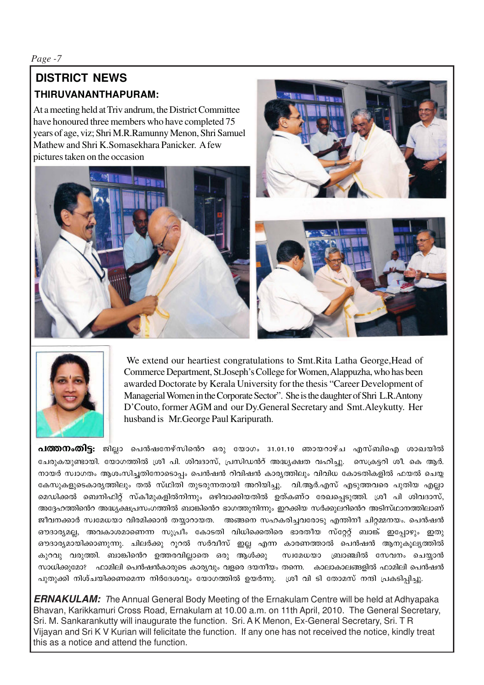# **THIRUVANANTHAPURAM: DISTRICT NEWS**

At a meeting held at Triv andrum, the District Committee have honoured three members who have completed 75 years of age, viz; Shri M.R.Ramunny Menon, Shri Samuel Mathew and Shri K.Somasekhara Panicker. A few pictures taken on the occasion







 We extend our heartiest congratulations to Smt.Rita Latha George,Head of Commerce Department, St.Joseph's College for Women, Alappuzha, who has been awarded Doctorate by Kerala University for the thesis "Career Development of Managerial Women in the Corporate Sector". She is the daughter of Shri L.R.Antony D'Couto, former AGM and our Dy.General Secretary and Smt.Aleykutty. Her husband is Mr.George Paul Karipurath.

പത്തനംതിട്ട: ജില്ലാ പെൻഷനേഴ്സിൻെ ഒരു യോഗം 31.01.10 ഞായറാഴ്ച എസ്ബിഐ ശാഖയിൽ ചേരുകയുണ്ടായി. യോഗത്തിൽ ശ്രീ പി. ശിവദാസ്, പ്രസിഡൻറ് അദ്ധ്യക്ഷത വഹിച്ചു. സെക്രട്ടറി ശീ. കെ ആർ. നായർ സ്വാഗതം ആശംസിച്ചതിനോടൊപ്പം പെൻഷൻ റിവിഷൻ കാര്യത്തിലും വിവിധ കോടതികളിൽ ഫയൽ ചെയ്ത കേസുകളുടെകാര്യത്തിലും തൽ സ്ഥിതി തുടരുന്നതായി അറിയിച്ചു. വി.ആർ.എസ് എടുത്തവരെ പുതിയ എല്ലാ മെഡിക്കൽ ബെനിഫിറ്റ് സ്കീമുകളിൽനിന്നും ഒഴിവാക്കിയതിൽ ഉത്കണ്ഠ രേഖപ്പെടുത്തി. ശ്രീ പി ശിവദാസ്, അദ്ദേഹത്തിൻെ അദ്ധ്യക്ഷപ്രസംഗത്തിൽ ബാങ്കിൻെ ഭാഗത്തുനിന്നും ഇറക്കിയ സർക്കുലറിൻെ അടിസ്ഥാനത്തിലാണ് ജീവനക്കാർ സ്വമേധയാ വിരമിക്കാൻ തയ്യാറായത. അങ്ങനെ സഹകരിച്ചവരോടു എന്തിനീ ചിറ്റമ്മനയം. പെൻഷൻ ഔദാര്യമല്ല, അവകാശമാണെന്ന സുപ്രീം കോടതി വിധിക്കെതിരെ ഭാരതീയ സ്റ്റേറ്റ് ബാങ്ക് ഇപ്പോഴും ഇതു ഔദാര്യമായിക്കാണുന്നു. ചിലർക്കു റുറൽ സർവീസ് ഇല്ല എന്ന കാരണത്താൽ പെൻഷൻ ആനുകുല്യത്തിൽ കുറവു വരുത്തി. ബാങ്കിൻെ ഉത്തരവില്ലാതെ ഒരു ആൾക്കു സ്വമേധയാ ബ്രാഞ്ചിൽ സേവനം ചെയ്യാൻ സാധിക്കുമോ? ഫാമിലി പെൻഷൻകാരുടെ കാര്യവും വളരെ ദയനീയം തന്നെ. കാലാകാലങ്ങളിൽ ഫാമിലി പെൻഷൻ പുതുക്കി നിശ്ചയിക്കണമെന്ന നിർദേശവും യോഗത്തിൽ ഉയർന്നു. ശ്രീ വി ടി തോമസ് നന്ദി പ്രകടിപ്പിച്ചു.

**ERNAKULAM:** The Annual General Body Meeting of the Ernakulam Centre will be held at Adhyapaka Bhavan, Karikkamuri Cross Road, Ernakulam at 10.00 a.m. on 11th April, 2010. The General Secretary, Sri. M. Sankarankutty will inaugurate the function. Sri. A K Menon, Ex-General Secretary, Sri. T R Vijayan and Sri K V Kurian will felicitate the function. If any one has not received the notice, kindly treat this as a notice and attend the function.